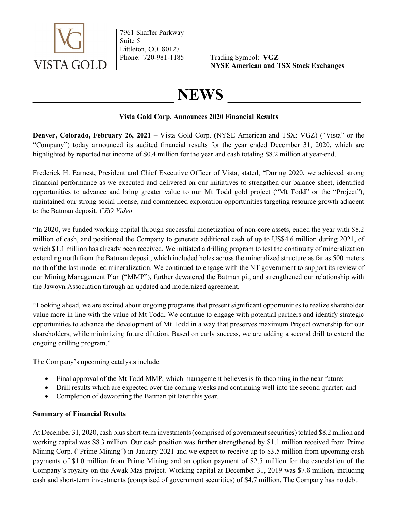

7961 Shaffer Parkway Suite 5 Littleton, CO 80127

Phone: 720-981-1185 Trading Symbol: VGZ NYSE American and TSX Stock Exchanges

# NEWS

### Vista Gold Corp. Announces 2020 Financial Results

Denver, Colorado, February 26, 2021 – Vista Gold Corp. (NYSE American and TSX: VGZ) ("Vista" or the "Company") today announced its audited financial results for the year ended December 31, 2020, which are highlighted by reported net income of \$0.4 million for the year and cash totaling \$8.2 million at year-end.

Frederick H. Earnest, President and Chief Executive Officer of Vista, stated, "During 2020, we achieved strong financial performance as we executed and delivered on our initiatives to strengthen our balance sheet, identified opportunities to advance and bring greater value to our Mt Todd gold project ("Mt Todd" or the "Project"), maintained our strong social license, and commenced exploration opportunities targeting resource growth adjacent to the Batman deposit. CEO Video

"In 2020, we funded working capital through successful monetization of non-core assets, ended the year with \$8.2 million of cash, and positioned the Company to generate additional cash of up to US\$4.6 million during 2021, of which \$1.1 million has already been received. We initiated a drilling program to test the continuity of mineralization extending north from the Batman deposit, which included holes across the mineralized structure as far as 500 meters north of the last modelled mineralization. We continued to engage with the NT government to support its review of our Mining Management Plan ("MMP"), further dewatered the Batman pit, and strengthened our relationship with the Jawoyn Association through an updated and modernized agreement.

"Looking ahead, we are excited about ongoing programs that present significant opportunities to realize shareholder value more in line with the value of Mt Todd. We continue to engage with potential partners and identify strategic opportunities to advance the development of Mt Todd in a way that preserves maximum Project ownership for our shareholders, while minimizing future dilution. Based on early success, we are adding a second drill to extend the ongoing drilling program."

The Company's upcoming catalysts include:

- Final approval of the Mt Todd MMP, which management believes is forthcoming in the near future;
- Drill results which are expected over the coming weeks and continuing well into the second quarter; and
- Completion of dewatering the Batman pit later this year.

## Summary of Financial Results

At December 31, 2020, cash plus short-term investments (comprised of government securities) totaled \$8.2 million and working capital was \$8.3 million. Our cash position was further strengthened by \$1.1 million received from Prime Mining Corp. ("Prime Mining") in January 2021 and we expect to receive up to \$3.5 million from upcoming cash payments of \$1.0 million from Prime Mining and an option payment of \$2.5 million for the cancelation of the Company's royalty on the Awak Mas project. Working capital at December 31, 2019 was \$7.8 million, including cash and short-term investments (comprised of government securities) of \$4.7 million. The Company has no debt.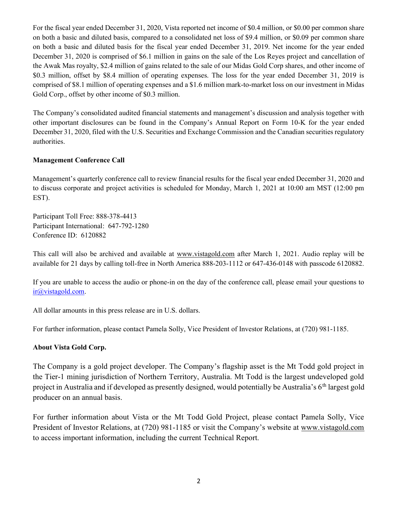For the fiscal year ended December 31, 2020, Vista reported net income of \$0.4 million, or \$0.00 per common share on both a basic and diluted basis, compared to a consolidated net loss of \$9.4 million, or \$0.09 per common share on both a basic and diluted basis for the fiscal year ended December 31, 2019. Net income for the year ended December 31, 2020 is comprised of \$6.1 million in gains on the sale of the Los Reyes project and cancellation of the Awak Mas royalty, \$2.4 million of gains related to the sale of our Midas Gold Corp shares, and other income of \$0.3 million, offset by \$8.4 million of operating expenses. The loss for the year ended December 31, 2019 is comprised of \$8.1 million of operating expenses and a \$1.6 million mark-to-market loss on our investment in Midas Gold Corp., offset by other income of \$0.3 million.

The Company's consolidated audited financial statements and management's discussion and analysis together with other important disclosures can be found in the Company's Annual Report on Form 10-K for the year ended December 31, 2020, filed with the U.S. Securities and Exchange Commission and the Canadian securities regulatory authorities.

### Management Conference Call

Management's quarterly conference call to review financial results for the fiscal year ended December 31, 2020 and to discuss corporate and project activities is scheduled for Monday, March 1, 2021 at 10:00 am MST (12:00 pm EST).

Participant Toll Free: 888-378-4413 Participant International: 647-792-1280 Conference ID: 6120882

This call will also be archived and available at www.vistagold.com after March 1, 2021. Audio replay will be available for 21 days by calling toll-free in North America 888-203-1112 or 647-436-0148 with passcode 6120882.

If you are unable to access the audio or phone-in on the day of the conference call, please email your questions to ir@vistagold.com.

All dollar amounts in this press release are in U.S. dollars.

For further information, please contact Pamela Solly, Vice President of Investor Relations, at (720) 981-1185.

#### About Vista Gold Corp.

The Company is a gold project developer. The Company's flagship asset is the Mt Todd gold project in the Tier-1 mining jurisdiction of Northern Territory, Australia. Mt Todd is the largest undeveloped gold project in Australia and if developed as presently designed, would potentially be Australia's 6<sup>th</sup> largest gold producer on an annual basis.

For further information about Vista or the Mt Todd Gold Project, please contact Pamela Solly, Vice President of Investor Relations, at (720) 981-1185 or visit the Company's website at www.vistagold.com to access important information, including the current Technical Report.